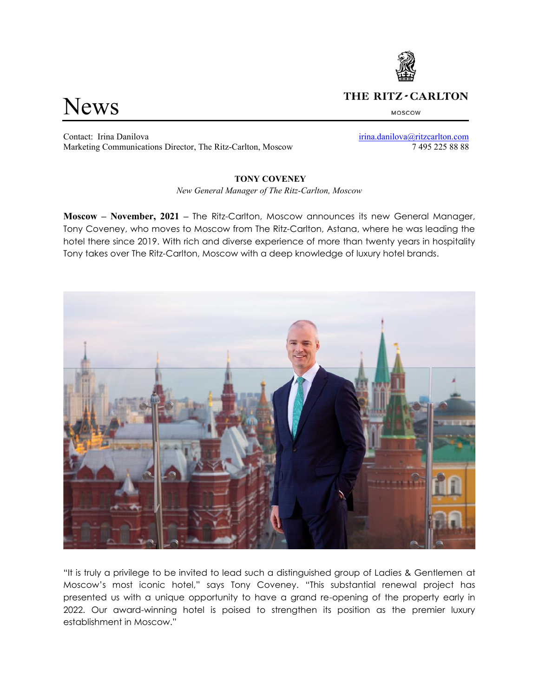# News

# THE RITZ-CARLTON

MOSCOW

Contact: Irina Danilova [irina.danilova@ritzcarlton.com](mailto:irina.danilova@ritzcarlton.com) Marketing Communications Director, The Ritz-Carlton, Moscow 7 495 225 88 88

## **TONY COVENEY**

*New General Manager of The Ritz-Carlton, Moscow*

**Moscow – November, 2021 –** The Ritz-Carlton, Moscow announces its new General Manager, Tony Coveney, who moves to Moscow from The Ritz-Carlton, Astana, where he was leading the hotel there since 2019. With rich and diverse experience of more than twenty years in hospitality Tony takes over The Ritz-Carlton, Moscow with a deep knowledge of luxury hotel brands.



"It is truly a privilege to be invited to lead such a distinguished group of Ladies & Gentlemen at Moscow's most iconic hotel," says Tony Coveney. "This substantial renewal project has presented us with a unique opportunity to have a grand re-opening of the property early in 2022. Our award-winning hotel is poised to strengthen its position as the premier luxury establishment in Moscow."